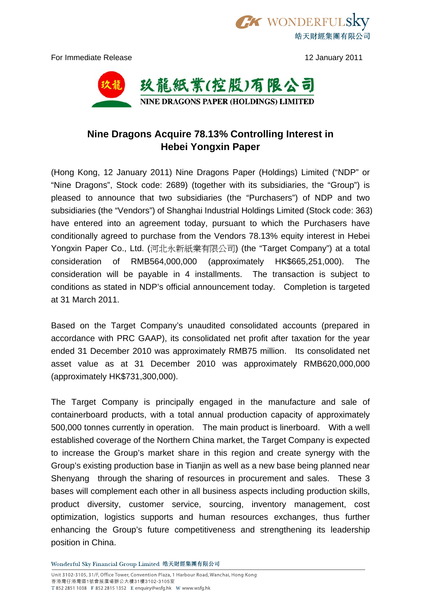For Immediate Release 12 January 2011

皓天財經集團有限公司

**TX WONDERFUL** 



## **Nine Dragons Acquire 78.13% Controlling Interest in Hebei Yongxin Paper**

(Hong Kong, 12 January 2011) Nine Dragons Paper (Holdings) Limited ("NDP" or "Nine Dragons", Stock code: 2689) (together with its subsidiaries, the "Group") is pleased to announce that two subsidiaries (the "Purchasers") of NDP and two subsidiaries (the "Vendors") of Shanghai Industrial Holdings Limited (Stock code: 363) have entered into an agreement today, pursuant to which the Purchasers have conditionally agreed to purchase from the Vendors 78.13% equity interest in Hebei Yongxin Paper Co., Ltd. (河北永新紙業有限公司) (the "Target Company") at a total consideration of RMB564,000,000 (approximately HK\$665,251,000). The consideration will be payable in 4 installments. The transaction is subject to conditions as stated in NDP's official announcement today. Completion is targeted at 31 March 2011.

Based on the Target Company's unaudited consolidated accounts (prepared in accordance with PRC GAAP), its consolidated net profit after taxation for the year ended 31 December 2010 was approximately RMB75 million. Its consolidated net asset value as at 31 December 2010 was approximately RMB620,000,000 (approximately HK\$731,300,000).

The Target Company is principally engaged in the manufacture and sale of containerboard products, with a total annual production capacity of approximately 500,000 tonnes currently in operation. The main product is linerboard. With a well established coverage of the Northern China market, the Target Company is expected to increase the Group's market share in this region and create synergy with the Group's existing production base in Tianjin as well as a new base being planned near Shenyang through the sharing of resources in procurement and sales. These 3 bases will complement each other in all business aspects including production skills, product diversity, customer service, sourcing, inventory management, cost optimization, logistics supports and human resources exchanges, thus further enhancing the Group's future competitiveness and strengthening its leadership position in China.

Wonderful Sky Financial Group Limited 皓天財經集團有限公司